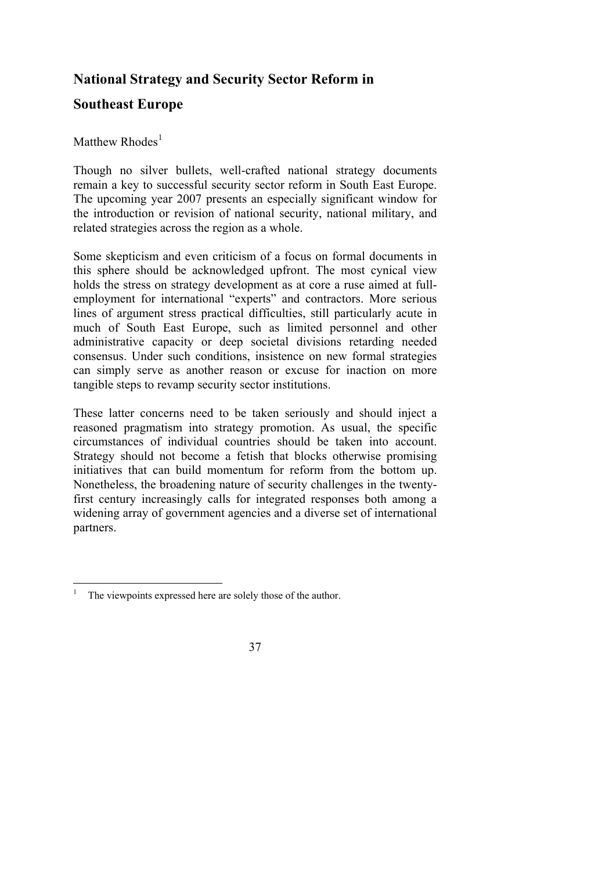## **National Strategy and Security Sector Reform in**

## **Southeast Europe**

## Matthew  $Rhodes<sup>1</sup>$

Though no silver bullets, well-crafted national strategy documents remain a key to successful security sector reform in South East Europe. The upcoming year 2007 presents an especially significant window for the introduction or revision of national security, national military, and related strategies across the region as a whole.

Some skepticism and even criticism of a focus on formal documents in this sphere should be acknowledged upfront. The most cynical view holds the stress on strategy development as at core a ruse aimed at fullemployment for international "experts" and contractors. More serious lines of argument stress practical difficulties, still particularly acute in much of South East Europe, such as limited personnel and other administrative capacity or deep societal divisions retarding needed consensus. Under such conditions, insistence on new formal strategies can simply serve as another reason or excuse for inaction on more tangible steps to revamp security sector institutions.

These latter concerns need to be taken seriously and should inject a reasoned pragmatism into strategy promotion. As usual, the specific circumstances of individual countries should be taken into account. Strategy should not become a fetish that blocks otherwise promising initiatives that can build momentum for reform from the bottom up. Nonetheless, the broadening nature of security challenges in the twentyfirst century increasingly calls for integrated responses both among a widening array of government agencies and a diverse set of international partners.

 $\overline{a}$ 1 The viewpoints expressed here are solely those of the author.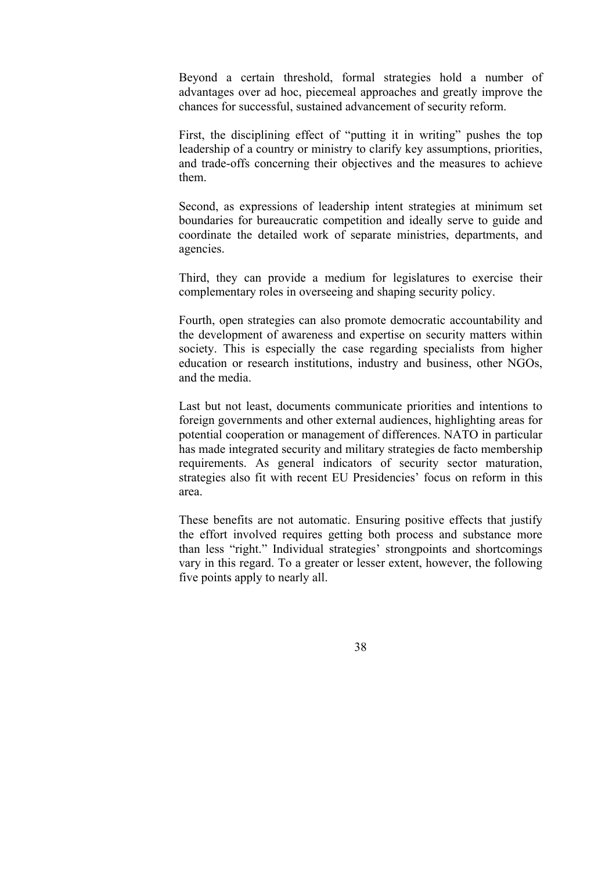Beyond a certain threshold, formal strategies hold a number of advantages over ad hoc, piecemeal approaches and greatly improve the chances for successful, sustained advancement of security reform.

First, the disciplining effect of "putting it in writing" pushes the top leadership of a country or ministry to clarify key assumptions, priorities, and trade-offs concerning their objectives and the measures to achieve them.

Second, as expressions of leadership intent strategies at minimum set boundaries for bureaucratic competition and ideally serve to guide and coordinate the detailed work of separate ministries, departments, and agencies.

Third, they can provide a medium for legislatures to exercise their complementary roles in overseeing and shaping security policy.

Fourth, open strategies can also promote democratic accountability and the development of awareness and expertise on security matters within society. This is especially the case regarding specialists from higher education or research institutions, industry and business, other NGOs, and the media.

Last but not least, documents communicate priorities and intentions to foreign governments and other external audiences, highlighting areas for potential cooperation or management of differences. NATO in particular has made integrated security and military strategies de facto membership requirements. As general indicators of security sector maturation, strategies also fit with recent EU Presidencies' focus on reform in this area.

These benefits are not automatic. Ensuring positive effects that justify the effort involved requires getting both process and substance more than less "right." Individual strategies' strongpoints and shortcomings vary in this regard. To a greater or lesser extent, however, the following five points apply to nearly all.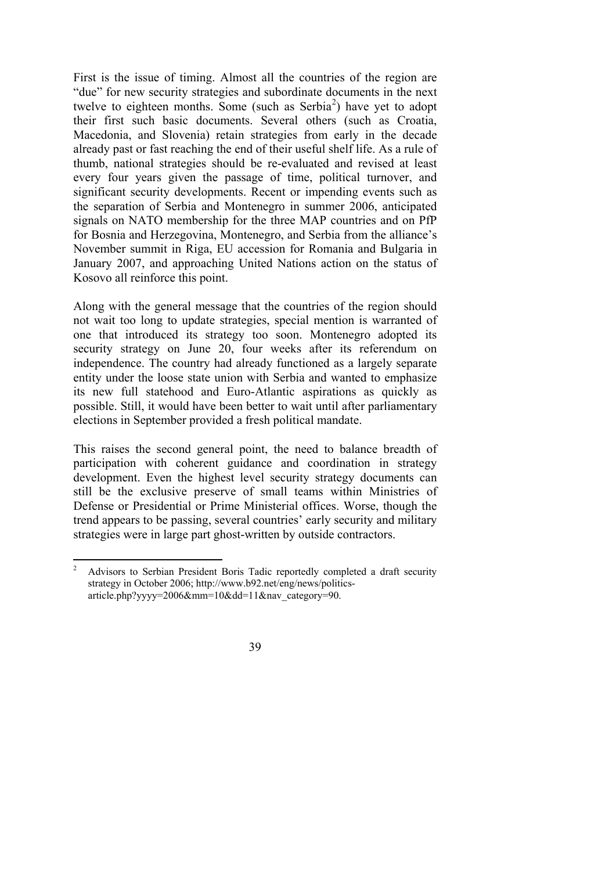First is the issue of timing. Almost all the countries of the region are "due" for new security strategies and subordinate documents in the next twelve to eighteen months. Some (such as  $Serbia<sup>2</sup>$ ) have yet to adopt their first such basic documents. Several others (such as Croatia, Macedonia, and Slovenia) retain strategies from early in the decade already past or fast reaching the end of their useful shelf life. As a rule of thumb, national strategies should be re-evaluated and revised at least every four years given the passage of time, political turnover, and significant security developments. Recent or impending events such as the separation of Serbia and Montenegro in summer 2006, anticipated signals on NATO membership for the three MAP countries and on PfP for Bosnia and Herzegovina, Montenegro, and Serbia from the alliance's November summit in Riga, EU accession for Romania and Bulgaria in January 2007, and approaching United Nations action on the status of Kosovo all reinforce this point.

Along with the general message that the countries of the region should not wait too long to update strategies, special mention is warranted of one that introduced its strategy too soon. Montenegro adopted its security strategy on June 20, four weeks after its referendum on independence. The country had already functioned as a largely separate entity under the loose state union with Serbia and wanted to emphasize its new full statehood and Euro-Atlantic aspirations as quickly as possible. Still, it would have been better to wait until after parliamentary elections in September provided a fresh political mandate.

This raises the second general point, the need to balance breadth of participation with coherent guidance and coordination in strategy development. Even the highest level security strategy documents can still be the exclusive preserve of small teams within Ministries of Defense or Presidential or Prime Ministerial offices. Worse, though the trend appears to be passing, several countries' early security and military strategies were in large part ghost-written by outside contractors.

 $\frac{1}{2}$  Advisors to Serbian President Boris Tadic reportedly completed a draft security strategy in October 2006; http://www.b92.net/eng/news/politicsarticle.php?yyyy=2006&mm=10&dd=11&nav\_category=90.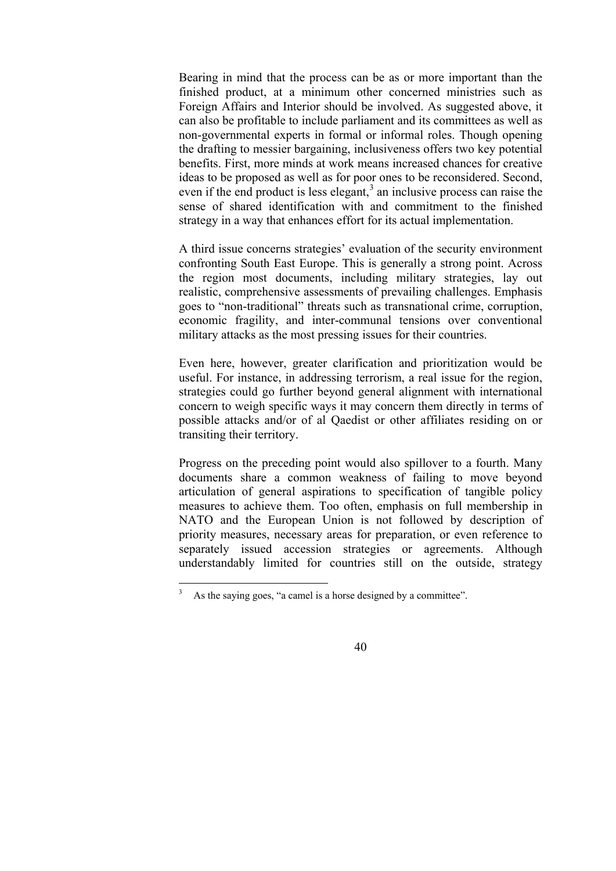Bearing in mind that the process can be as or more important than the finished product, at a minimum other concerned ministries such as Foreign Affairs and Interior should be involved. As suggested above, it can also be profitable to include parliament and its committees as well as non-governmental experts in formal or informal roles. Though opening the drafting to messier bargaining, inclusiveness offers two key potential benefits. First, more minds at work means increased chances for creative ideas to be proposed as well as for poor ones to be reconsidered. Second, even if the end product is less elegant, $3$  an inclusive process can raise the sense of shared identification with and commitment to the finished strategy in a way that enhances effort for its actual implementation.

A third issue concerns strategies' evaluation of the security environment confronting South East Europe. This is generally a strong point. Across the region most documents, including military strategies, lay out realistic, comprehensive assessments of prevailing challenges. Emphasis goes to "non-traditional" threats such as transnational crime, corruption, economic fragility, and inter-communal tensions over conventional military attacks as the most pressing issues for their countries.

Even here, however, greater clarification and prioritization would be useful. For instance, in addressing terrorism, a real issue for the region, strategies could go further beyond general alignment with international concern to weigh specific ways it may concern them directly in terms of possible attacks and/or of al Qaedist or other affiliates residing on or transiting their territory.

Progress on the preceding point would also spillover to a fourth. Many documents share a common weakness of failing to move beyond articulation of general aspirations to specification of tangible policy measures to achieve them. Too often, emphasis on full membership in NATO and the European Union is not followed by description of priority measures, necessary areas for preparation, or even reference to separately issued accession strategies or agreements. Although understandably limited for countries still on the outside, strategy

 $\overline{a}$ 

<sup>3</sup> As the saying goes, "a camel is a horse designed by a committee".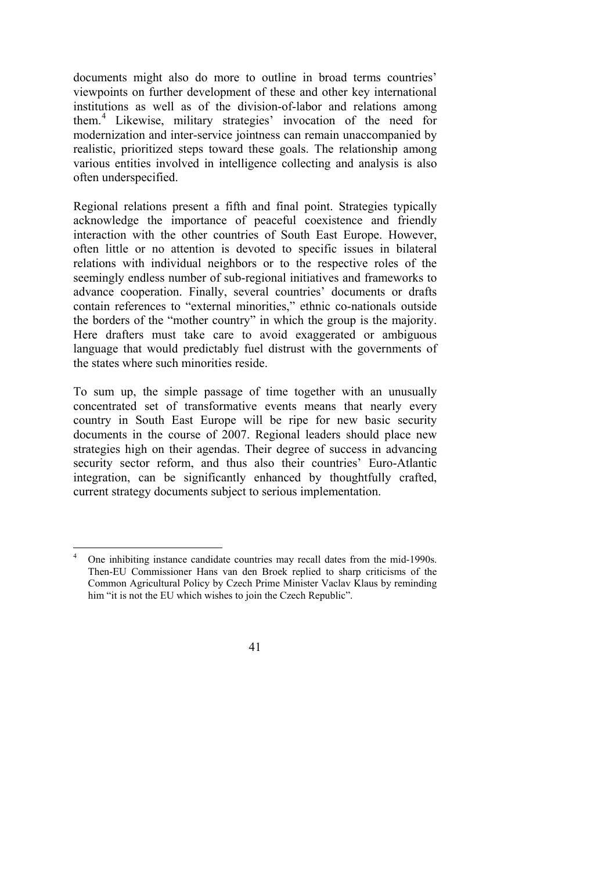documents might also do more to outline in broad terms countries' viewpoints on further development of these and other key international institutions as well as of the division-of-labor and relations among them.<sup>4</sup> Likewise, military strategies' invocation of the need for modernization and inter-service jointness can remain unaccompanied by realistic, prioritized steps toward these goals. The relationship among various entities involved in intelligence collecting and analysis is also often underspecified.

Regional relations present a fifth and final point. Strategies typically acknowledge the importance of peaceful coexistence and friendly interaction with the other countries of South East Europe. However, often little or no attention is devoted to specific issues in bilateral relations with individual neighbors or to the respective roles of the seemingly endless number of sub-regional initiatives and frameworks to advance cooperation. Finally, several countries' documents or drafts contain references to "external minorities," ethnic co-nationals outside the borders of the "mother country" in which the group is the majority. Here drafters must take care to avoid exaggerated or ambiguous language that would predictably fuel distrust with the governments of the states where such minorities reside.

To sum up, the simple passage of time together with an unusually concentrated set of transformative events means that nearly every country in South East Europe will be ripe for new basic security documents in the course of 2007. Regional leaders should place new strategies high on their agendas. Their degree of success in advancing security sector reform, and thus also their countries' Euro-Atlantic integration, can be significantly enhanced by thoughtfully crafted, current strategy documents subject to serious implementation.

 $\frac{1}{4}$  One inhibiting instance candidate countries may recall dates from the mid-1990s. Then-EU Commissioner Hans van den Broek replied to sharp criticisms of the Common Agricultural Policy by Czech Prime Minister Vaclav Klaus by reminding him "it is not the EU which wishes to join the Czech Republic".